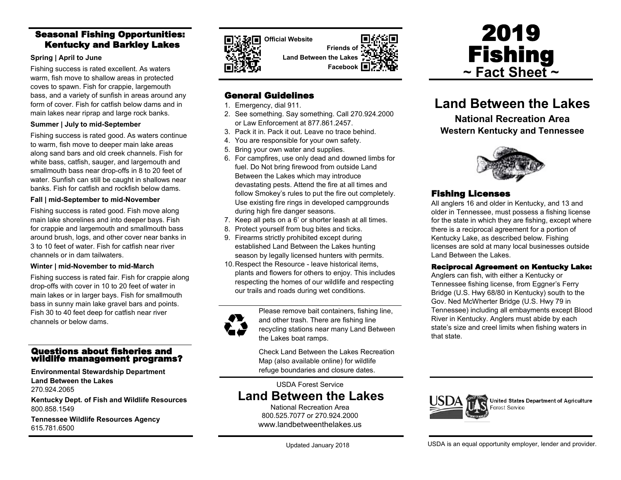### Seasonal Fishing Opportunities: Kentucky and Barkley Lakes

#### **Spring | April to June**

Fishing success is rated excellent. As waters warm, fish move to shallow areas in protected coves to spawn. Fish for crappie, largemouth bass, and a variety of sunfish in areas around any form of cover. Fish for catfish below dams and in main lakes near riprap and large rock banks.

### **Summer | July to mid-September**

Fishing success is rated good. As waters continue to warm, fish move to deeper main lake areas along sand bars and old creek channels. Fish for white bass, catfish, sauger, and largemouth and smallmouth bass near drop-offs in 8 to 20 feet of water. Sunfish can still be caught in shallows near banks. Fish for catfish and rockfish below dams.

### **Fall | mid-September to mid-November**

Fishing success is rated good. Fish move along main lake shorelines and into deeper bays. Fish for crappie and largemouth and smallmouth bass around brush, logs, and other cover near banks in 3 to 10 feet of water. Fish for catfish near river channels or in dam tailwaters.

#### **Winter | mid-November to mid-March**

Fishing success is rated fair. Fish for crappie along drop-offs with cover in 10 to 20 feet of water in main lakes or in larger bays. Fish for smallmouth bass in sunny main lake gravel bars and points. Fish 30 to 40 feet deep for catfish near river channels or below dams.

### Questions about fisheries and wildlife management programs?

**Environmental Stewardship Department Land Between the Lakes** 270.924.2065

**Kentucky Dept. of Fish and Wildlife Resources** 800.858.1549

**Tennessee Wildlife Resources Agency** 615.781.6500



**Official Website Friends of Land Between the Lakes**



### General Guidelines

- 1. Emergency, dial 911.
- 2. See something. Say something. Call 270.924.2000 or Law Enforcement at 877.861.2457.
- 3. Pack it in. Pack it out. Leave no trace behind.
- 4. You are responsible for your own safety.
- 5. Bring your own water and supplies.
- 6. For campfires, use only dead and downed limbs for fuel. Do Not bring firewood from outside Land Between the Lakes which may introduce devastating pests. Attend the fire at all times and follow Smokey's rules to put the fire out completely. Use existing fire rings in developed campgrounds during high fire danger seasons.
- 7. Keep all pets on a 6' or shorter leash at all times.
- 8. Protect yourself from bug bites and ticks.
- 9. Firearms strictly prohibited except during established Land Between the Lakes hunting season by legally licensed hunters with permits.
- 10.Respect the Resource leave historical items, plants and flowers for others to enjoy. This includes respecting the homes of our wildlife and respecting our trails and roads during wet conditions.



Please remove bait containers, fishing line, and other trash. There are fishing line recycling stations near many Land Between the Lakes boat ramps.

Check Land Between the Lakes Recreation Map (also available online) for wildlife refuge boundaries and closure dates.

USDA Forest Service

# **Land Between the Lakes**

National Recreation Area 800.525.7077 or 270.924.2000 www.landbetweenthelakes.us



# **Land Between the Lakes**

**National Recreation Area Western Kentucky and Tennessee**



### Fishing Licenses

All anglers 16 and older in Kentucky, and 13 and older in Tennessee, must possess a fishing license for the state in which they are fishing, except where there is a reciprocal agreement for a portion of Kentucky Lake, as described below. Fishing licenses are sold at many local businesses outside Land Between the Lakes.

### Reciprocal Agreement on Kentucky Lake:

Anglers can fish, with either a Kentucky or Tennessee fishing license, from Eggner's Ferry Bridge (U.S. Hwy 68/80 in Kentucky) south to the Gov. Ned McWherter Bridge (U.S. Hwy 79 in Tennessee) including all embayments except Blood River in Kentucky. Anglers must abide by each state's size and creel limits when fishing waters in that state.



United States Department of Agriculture Forest Service